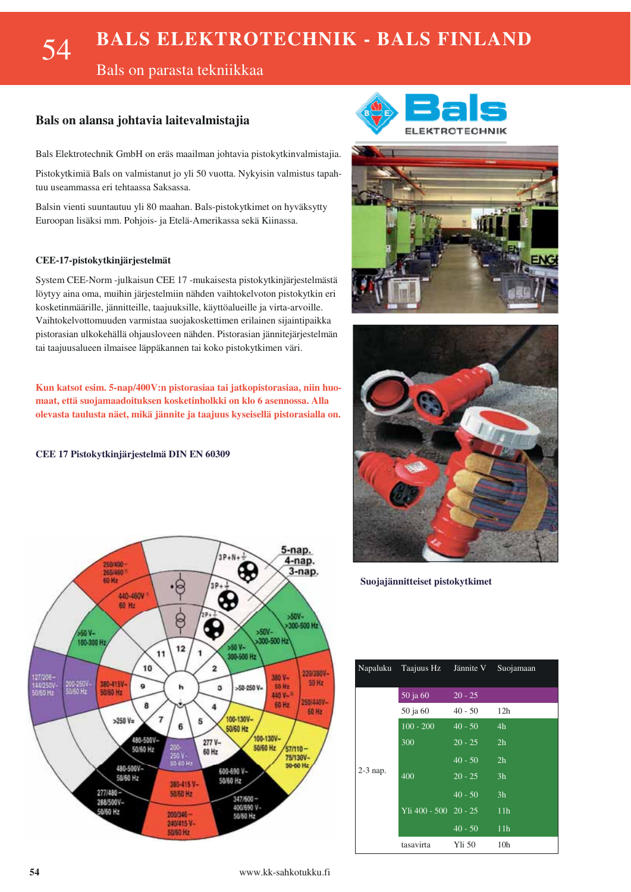### **BALS ELEKTROTECHNIK - BALS FINLAND** 54

Bals on parasta tekniikkaa

### Bals on alansa johtavia laitevalmistajia

Bals Elektrotechnik GmbH on eräs maailman johtavia pistokytkinvalmistajia.

Pistokytkimiä Bals on valmistanut jo yli 50 vuotta. Nykyisin valmistus tapahtuu useammassa eri tehtaassa Saksassa.

Balsin vienti suuntautuu yli 80 maahan. Bals-pistokytkimet on hyväksytty Euroopan lisäksi mm. Pohjois- ja Etelä-Amerikassa sekä Kiinassa.

#### CEE-17-pistokytkinjärjestelmät

System CEE-Norm -julkaisun CEE 17 -mukaisesta pistokytkinjärjestelmästä löytyy aina oma, muihin järjestelmiin nähden vaihtokelvoton pistokytkin eri kosketinmäärille, jännitteille, taajuuksille, käyttöalueille ja virta-arvoille. Vaihtokelvottomuuden varmistaa suojakoskettimen erilainen sijaintipaikka pistorasian ulkokehällä ohjausloveen nähden. Pistorasian jännitejärjestelmän tai taajuusalueen ilmaisee läppäkannen tai koko pistokytkimen väri.

Kun katsot esim. 5-nap/400V:n pistorasiaa tai jatkopistorasiaa, niin huomaat, että suojamaadoituksen kosketinholkki on klo 6 asennossa. Alla olevasta taulusta näet, mikä jännite ja taajuus kyseisellä pistorasialla on.

#### CEE 17 Pistokytkinjärjestelmä DIN EN 60309







Suojajännitteiset pistokytkimet

|            | Napaluku Taajuus Hz Jännite V Suojamaan |           |                 |
|------------|-----------------------------------------|-----------|-----------------|
|            | 50 ja 60                                | $20 - 25$ |                 |
|            | 50 ja 60                                | $40 - 50$ | 12h             |
|            | $100 - 200$                             | $40 - 50$ | 4h              |
|            | 300                                     | $20 - 25$ | 2h              |
|            |                                         | $40 - 50$ | 2 <sub>h</sub>  |
| $2-3$ nap. | 400                                     | $20 - 25$ | 3h              |
|            |                                         | $40 - 50$ | 3 <sub>h</sub>  |
|            | $Yli 400 - 500 20 - 25$                 |           | 11 <sub>h</sub> |
|            |                                         | $40 - 50$ | 11 <sub>h</sub> |
|            | tasavirta                               | Yli 50    | 10 <sub>h</sub> |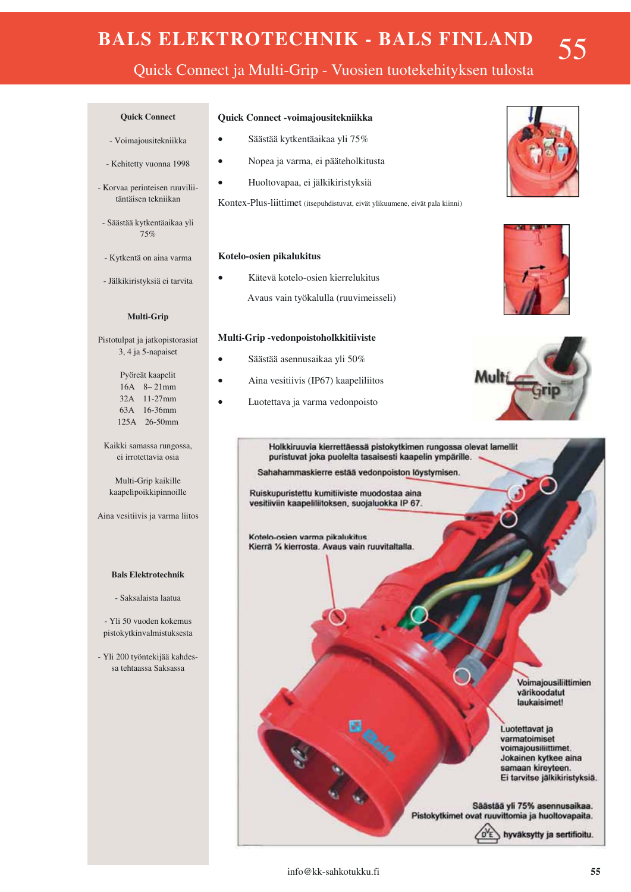# **BALS ELEKTROTECHNIK - BALS FINLAND**

55

## Quick Connect ja Multi-Grip - Vuosien tuotekehityksen tulosta

#### **Ouick Connect**

- Voimajousitekniikka
- Kehitetty vuonna 1998
- Korvaa perinteisen ruuviliitäntäisen tekniikan
- Säästää kytkentäaikaa yli 75%
- Kytkentä on aina varma
- Jälkikiristyksiä ei tarvita

#### Multi-Grip

Pistotulpat ja jatkopistorasiat 3, 4 ja 5-napaiset

> Pyöreät kaapelit  $16A \quad 8-21mm$ 32A 11-27mm 63A 16-36mm

125A 26-50mm

Kaikki samassa rungossa, ei irrotettavia osia

Multi-Grip kaikille kaapelipoikkipinnoille

Aina vesitiivis ja varma liitos

#### **Bals Elektrotechnik**

- Saksalaista laatua

- Yli 50 vuoden kokemus pistokytkinvalmistuksesta
- Yli 200 tvöntekijää kahdessa tehtaassa Saksassa

#### Quick Connect -voimajousitekniikka

- Säästää kytkentäaikaa yli 75%
- Nopea ja varma, ei pääteholkitusta  $\bullet$
- Huoltovapaa, ei jälkikiristyksiä

Kontex-Plus-liittimet (itsepuhdistuvat, eivät ylikuumene, eivät pala kiinni)

#### Kotelo-osien pikalukitus

Kätevä kotelo-osien kierrelukitus Avaus vain työkalulla (ruuvimeisseli)

#### Multi-Grip-vedonpoistoholkkitiiviste

- Säästää asennusaikaa yli 50%
- Aina vesitiivis (IP67) kaapeliliitos
- Luotettava ja varma vedonpoisto  $\bullet$







Holkkiruuvia kierrettäessä pistokytkimen rungossa olevat lamellit puristuvat joka puolelta tasaisesti kaapelin ympärille. Sahahammaskierre estää vedonpoiston löystymisen.

Ruiskupuristettu kumitiiviste muodostaa aina vesitiiviin kaapeliliitoksen, suojaluokka IP 67.

Kotelo-osien varma pikalukitus Kierrä % kierrosta. Avaus vain ruuvitaltalla

> Voimajousiliittimien värikoodatut laukaisimet!

Luotettavat ja varmatoimiset voimajousiliittimet. Jokainen kytkee aina samaan kireyteen. Ei tarvitse jälkikiristyksiä.

Säästää yli 75% asennusaikaa. Pistokytkimet ovat ruuvittomia ja huoltovapaita.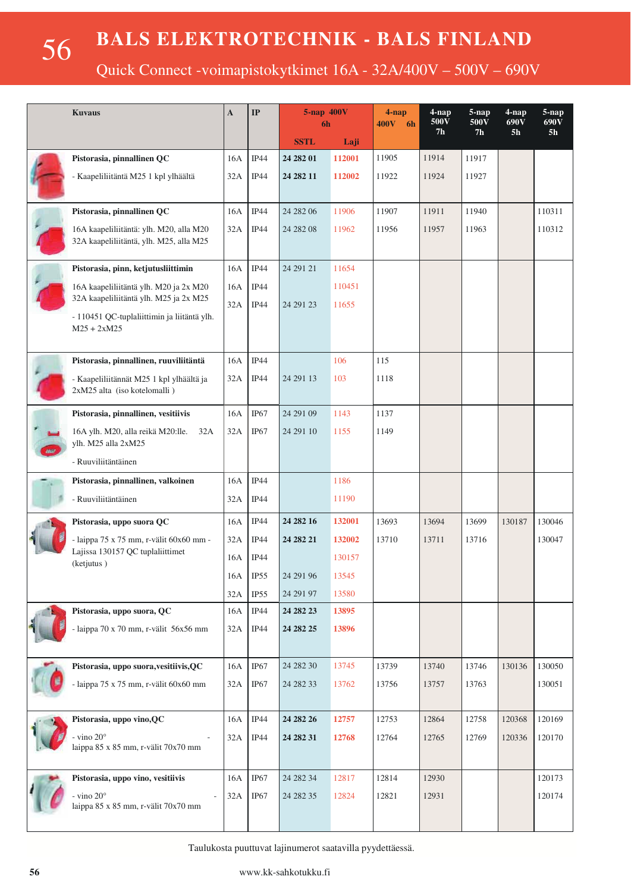56

Quick Connect -voimapistokytkimet 16A - 32A/400V - 500V - 690V

| <b>Kuvaus</b> |                                                                                                        | $\mathbf{A}$ | IP               | 5-nap 400V<br>6h |        | $4$ -nap<br>400V 6h | $4$ -nap<br>500V | $5$ -nap<br>500V | $4$ -nap<br>690V | $5$ -nap<br>690V |
|---------------|--------------------------------------------------------------------------------------------------------|--------------|------------------|------------------|--------|---------------------|------------------|------------------|------------------|------------------|
|               |                                                                                                        |              |                  | <b>SSTL</b>      | Laji   |                     | 7 <sub>h</sub>   | 7 <sub>h</sub>   | 5 <sub>h</sub>   | 5 <sub>h</sub>   |
|               | Pistorasia, pinnallinen QC                                                                             | 16A          | IP44             | 24 28 201        | 112001 | 11905               | 11914            | 11917            |                  |                  |
|               | - Kaapeliliitäntä M25 1 kpl ylhäältä                                                                   | 32A          | IP44             | 24 282 11        | 112002 | 11922               | 11924            | 11927            |                  |                  |
|               | Pistorasia, pinnallinen QC                                                                             | 16A          | IP44             | 24 28 20 6       | 11906  | 11907               | 11911            | 11940            |                  | 110311           |
|               | 16A kaapeliliitäntä: ylh. M20, alla M20<br>32A kaapeliliitäntä, ylh. M25, alla M25                     | 32A          | IP44             | 24 28 208        | 11962  | 11956               | 11957            | 11963            |                  | 110312           |
|               | Pistorasia, pinn, ketjutusliittimin                                                                    | 16A          | IP44             | 24 29 1 21       | 11654  |                     |                  |                  |                  |                  |
|               | 16A kaapeliliitäntä ylh. M20 ja 2x M20                                                                 |              | IP44             |                  | 110451 |                     |                  |                  |                  |                  |
|               | 32A kaapeliliitäntä ylh. M25 ja 2x M25<br>- 110451 QC-tuplaliittimin ja liitäntä ylh.<br>$M25 + 2xM25$ | 32A          | IP44             | 24 29 1 23       | 11655  |                     |                  |                  |                  |                  |
|               | Pistorasia, pinnallinen, ruuviliitäntä                                                                 | 16A          | IP44             |                  | 106    | 115                 |                  |                  |                  |                  |
|               | - Kaapeliliitännät M25 1 kpl ylhäältä ja<br>2xM25 alta (iso kotelomalli)                               | 32A          | IP44             | 24 29 1 13       | 103    | 1118                |                  |                  |                  |                  |
|               | Pistorasia, pinnallinen, vesitiivis                                                                    | 16A          | IP <sub>67</sub> | 24 291 09        | 1143   | 1137                |                  |                  |                  |                  |
|               | 16A ylh. M20, alla reikä M20:lle.<br>32A<br>ylh. M25 alla 2xM25                                        | 32A          | IP <sub>67</sub> | 24 291 10        | 1155   | 1149                |                  |                  |                  |                  |
|               | - Ruuviliitäntäinen                                                                                    |              |                  |                  |        |                     |                  |                  |                  |                  |
|               | Pistorasia, pinnallinen, valkoinen                                                                     | 16A          | IP44             |                  | 1186   |                     |                  |                  |                  |                  |
|               | - Ruuviliitäntäinen                                                                                    | 32A          | IP44             |                  | 11190  |                     |                  |                  |                  |                  |
|               | Pistorasia, uppo suora QC                                                                              | 16A          | IP44             | 24 282 16        | 132001 | 13693               | 13694            | 13699            | 130187           | 130046           |
|               | - laippa 75 x 75 mm, r-välit 60x60 mm -<br>Lajissa 130157 QC tuplaliittimet<br>(ketjutus)              | 32A          | IP44             | 24 282 21        | 132002 | 13710               | 13711            | 13716            |                  | 130047           |
|               |                                                                                                        | 16A          | <b>IP44</b>      |                  | 130157 |                     |                  |                  |                  |                  |
|               |                                                                                                        | 16A          | IP55             | 24 29 1 96       | 13545  |                     |                  |                  |                  |                  |
|               |                                                                                                        | 32A          | IP55             | 24 291 97        | 13580  |                     |                  |                  |                  |                  |
|               | Pistorasia, uppo suora, QC                                                                             | 16A          | IP44             | 24 282 23        | 13895  |                     |                  |                  |                  |                  |
|               | - laippa 70 x 70 mm, r-välit 56x56 mm                                                                  | $32A$        | <b>IP44</b>      | 24 282 25        | 13896  |                     |                  |                  |                  |                  |
|               | Pistorasia, uppo suora, vesitiivis, QC                                                                 | 16A          | IP <sub>67</sub> | 24 282 30        | 13745  | 13739               | 13740            | 13746            | 130136           | 130050           |
|               | - laippa 75 x 75 mm, r-välit 60x60 mm                                                                  | 32A          | IP <sub>67</sub> | 24 28 2 33       | 13762  | 13756               | 13757            | 13763            |                  | 130051           |
|               | Pistorasia, uppo vino, QC                                                                              | 16A          | $IP44$           | 24 282 26        | 12757  | 12753               | 12864            | 12758            | 120368           | 120169           |
|               | - vino $20^{\circ}$<br>laippa 85 x 85 mm, r-välit 70x70 mm                                             | 32A          | <b>IP44</b>      | 24 28 231        | 12768  | 12764               | 12765            | 12769            | 120336           | 120170           |
|               | Pistorasia, uppo vino, vesitiivis                                                                      | 16A          | $IP67$           | 24 282 34        | 12817  | 12814               | 12930            |                  |                  | 120173           |
|               | - vino $20^{\circ}$<br>laippa 85 x 85 mm, r-välit 70x70 mm                                             | 32A          | $IP67$           | 24 282 35        | 12824  | 12821               | 12931            |                  |                  | 120174           |

Taulukosta puuttuvat lajinumerot saatavilla pyydettäessä.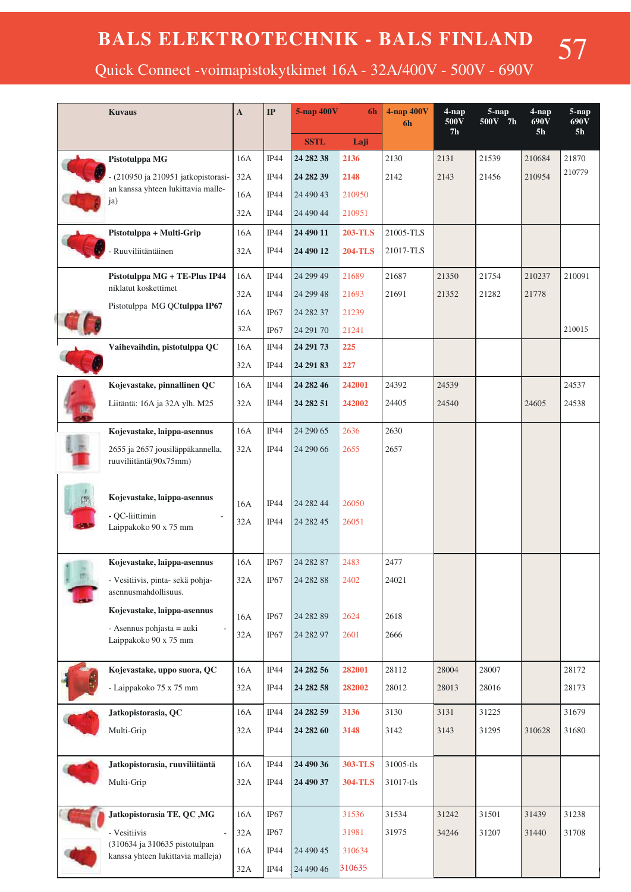57

Quick Connect -voimapistokytkimet 16A - 32A/400V - 500V - 690V

| <b>Kuvaus</b> |                                                                         | $\mathbf A$ | $\mathbf{IP}$    | 5-nap 400V<br>6h       |                | 4-nap 400V<br>6h | 4-nap<br>500V<br>7 <sub>h</sub> | $5 - nap$<br>500V 7h | 4-nap<br>690V<br>5 <sub>h</sub> | 5-nap<br>$690\overline{V}$<br>5 <sub>h</sub> |
|---------------|-------------------------------------------------------------------------|-------------|------------------|------------------------|----------------|------------------|---------------------------------|----------------------|---------------------------------|----------------------------------------------|
|               |                                                                         |             |                  | <b>SSTL</b>            | Laji           |                  |                                 |                      |                                 |                                              |
|               | Pistotulppa MG                                                          | 16A         | IP44             | 24 282 38              | 2136           | 2130             | 2131                            | 21539                | 210684                          | 21870                                        |
|               | (210950 ja 210951 jatkopistorasi-<br>an kanssa yhteen lukittavia malle- | 32A         | IP44             | 24 282 39              | 2148           | 2142             | 2143                            | 21456                | 210954                          | 210779                                       |
|               | ja)                                                                     | 16A         | IP44             | 24 490 43              | 210950         |                  |                                 |                      |                                 |                                              |
|               |                                                                         | 32A         | IP44             | 24 490 44              | 210951         |                  |                                 |                      |                                 |                                              |
|               | Pistotulppa + Multi-Grip                                                | 16A         | IP44             | 24 490 11              | <b>203-TLS</b> | 21005-TLS        |                                 |                      |                                 |                                              |
|               | Ruuviliitäntäinen                                                       | 32A         | IP44             | 24 490 12              | <b>204-TLS</b> | 21017-TLS        |                                 |                      |                                 |                                              |
|               | Pistotulppa MG + TE-Plus IP44                                           | 16A         | IP44             | 24 299 49              | 21689          | 21687            | 21350                           | 21754                | 210237                          | 210091                                       |
|               | niklatut koskettimet                                                    | 32A         | IP44             | 24 299 48              | 21693          | 21691            | 21352                           | 21282                | 21778                           |                                              |
|               | Pistotulppa MG QCtulppa IP67                                            | 16A         | IP <sub>67</sub> | 24 28 237              | 21239          |                  |                                 |                      |                                 |                                              |
|               |                                                                         | 32A         | IP67             | 24 291 70              | 21241          |                  |                                 |                      |                                 | 210015                                       |
|               | Vaihevaihdin, pistotulppa QC                                            | 16A         | IP44             | 24 29 173              | 225            |                  |                                 |                      |                                 |                                              |
|               |                                                                         | 32A         | IP44             | 24 29 183              | 227            |                  |                                 |                      |                                 |                                              |
|               | Kojevastake, pinnallinen QC                                             | 16A         | IP44             | 24 282 46              | 242001         | 24392            | 24539                           |                      |                                 | 24537                                        |
|               | Liitäntä: 16A ja 32A ylh. M25                                           | 32A         | IP44             | 24 28 251              | 242002         | 24405            | 24540                           |                      | 24605                           | 24538                                        |
|               | Kojevastake, laippa-asennus                                             | 16A         | IP44             | 24 290 65              | 2636           | 2630             |                                 |                      |                                 |                                              |
|               | 2655 ja 2657 jousiläppäkannella,<br>ruuviliitäntä(90x75mm)              | 32A         | IP44             | 24 290 66              | 2655           | 2657             |                                 |                      |                                 |                                              |
|               | Kojevastake, laippa-asennus<br>- OC-liittimin<br>Laippakoko 90 x 75 mm  | 16A<br>32A  | IP44<br>IP44     | 24 282 44<br>24 282 45 | 26050<br>26051 |                  |                                 |                      |                                 |                                              |
|               | Kojevastake, laippa-asennus                                             | 16A         | IP67             | 24 28 287              | 2483           | 2477             |                                 |                      |                                 |                                              |
|               | - Vesitiivis, pinta- sekä pohja-<br>asennusmahdollisuus.                | 32A         | IP67             | 24 28 288              | 2402           | 24021            |                                 |                      |                                 |                                              |
|               | Kojevastake, laippa-asennus                                             | 16A         | IP67             | 24 28 289              | 2624           | 2618             |                                 |                      |                                 |                                              |
|               | - Asennus pohjasta = auki                                               | 32A         | IP <sub>67</sub> | 24 28 297              | 2601           | 2666             |                                 |                      |                                 |                                              |
|               | Laippakoko 90 x 75 mm                                                   |             |                  |                        |                |                  |                                 |                      |                                 |                                              |
|               | Kojevastake, uppo suora, QC                                             | 16A         | IP44             | 24 28 25 6             | 282001         | 28112            | 28004                           | 28007                |                                 | 28172                                        |
|               | - Laippakoko 75 x 75 mm                                                 | 32A         | IP44             | 24 28 258              | 282002         | 28012            | 28013                           | 28016                |                                 | 28173                                        |
|               | Jatkopistorasia, QC                                                     | 16A         | IP44             | 24 282 59              | 3136           | 3130             | 3131                            | 31225                |                                 | 31679                                        |
|               | Multi-Grip                                                              | 32A         | IP44             | 24 282 60              | 3148           | 3142             | 3143                            | 31295                | 310628                          | 31680                                        |
|               |                                                                         |             |                  |                        |                |                  |                                 |                      |                                 |                                              |
|               | Jatkopistorasia, ruuviliitäntä                                          | 16A         | IP44             | 24 490 36              | 303-TLS        | 31005-tls        |                                 |                      |                                 |                                              |
|               | Multi-Grip                                                              | 32A         | IP44             | 24 490 37              | <b>304-TLS</b> | 31017-tls        |                                 |                      |                                 |                                              |
|               | Jatkopistorasia TE, QC, MG                                              | 16A         | IP <sub>67</sub> |                        | 31536          | 31534            | 31242                           | 31501                | 31439                           | 31238                                        |
|               | - Vesitiivis<br>$\sim$                                                  | 32A         | $IP67$           |                        | 31981          | 31975            | 34246                           | 31207                | 31440                           | 31708                                        |
|               | (310634 ja 310635 pistotulpan<br>kanssa yhteen lukittavia malleja)      | 16A         | IP44             | 24 490 45              | 310634         |                  |                                 |                      |                                 |                                              |
|               |                                                                         | $32A$       | IP44             | 24 490 46              | 310635         |                  |                                 |                      |                                 |                                              |